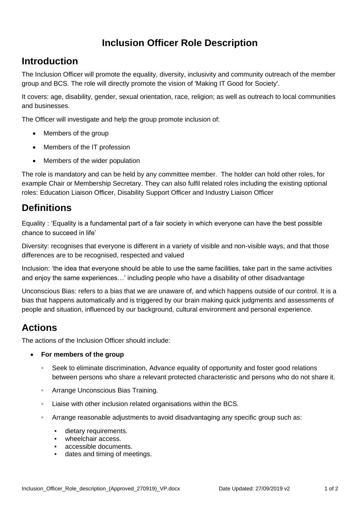# **Inclusion Officer Role Description**

# **Introduction**

The Inclusion Officer will promote the equality, diversity, inclusivity and community outreach of the member group and BCS. The role will directly promote the vision of 'Making IT Good for Society'.

It covers: age, disability, gender, sexual orientation, race, religion; as well as outreach to local communities and businesses.

The Officer will investigate and help the group promote inclusion of:

- Members of the group
- Members of the IT profession
- Members of the wider population

The role is mandatory and can be held by any committee member. The holder can hold other roles, for example Chair or Membership Secretary. They can also fulfil related roles including the existing optional roles: Education Liaison Officer, Disability Support Officer and Industry Liaison Officer

## **Definitions**

Equality : 'Equality is a fundamental part of a fair society in which everyone can have the best possible chance to succeed in life'

Diversity: recognises that everyone is different in a variety of visible and non-visible ways, and that those differences are to be recognised, respected and valued

Inclusion: 'the idea that everyone should be able to use the same facilities, take part in the same activities and enjoy the same experiences…' including people who have a disability of other disadvantage

Unconscious Bias: refers to a bias that we are unaware of, and which happens outside of our control. It is a bias that happens automatically and is triggered by our brain making quick judgments and assessments of people and situation, influenced by our background, cultural environment and personal experience.

# **Actions**

The actions of the Inclusion Officer should include:

- **For members of the group**
	- Seek to eliminate discrimination, Advance equality of opportunity and foster good relations between persons who share a relevant protected characteristic and persons who do not share it.
	- Arrange Unconscious Bias Training.
	- Liaise with other inclusion related organisations within the BCS.
	- Arrange reasonable adjustments to avoid disadvantaging any specific group such as:
		- dietary requirements.
		- wheelchair access.
		- accessible documents.
		- dates and timing of meetings.